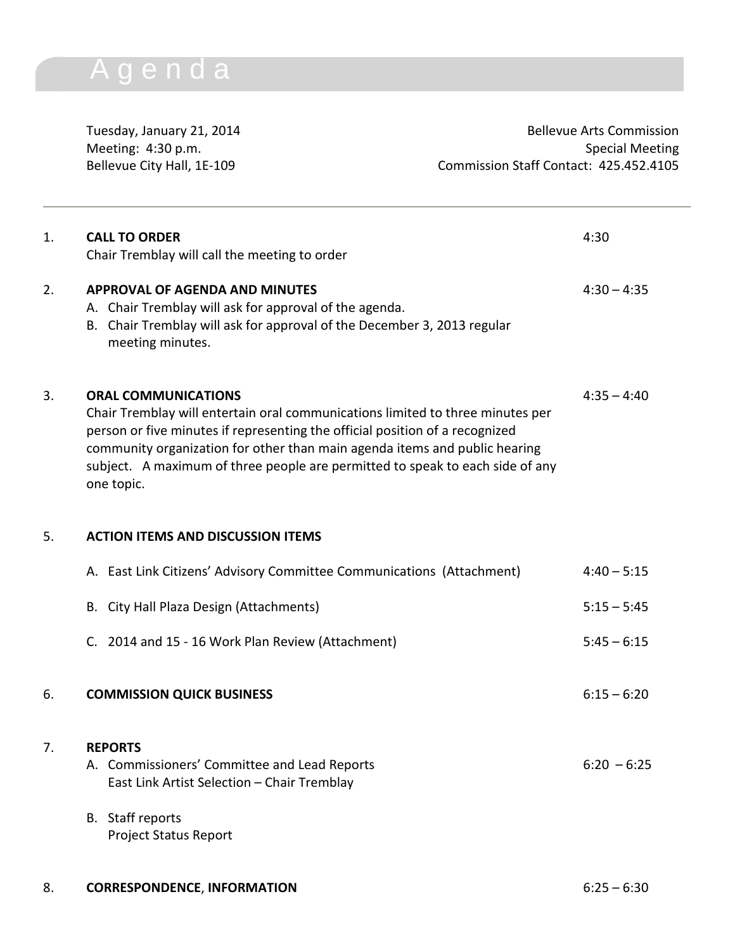## A g e n d a

Meeting: 4:30 p.m.

Tuesday, January 21, 2014<br>
Meeting: 4:30 p.m.<br>
Special Meeting Special Meeting Bellevue City Hall, 1E-109 Commission Staff Contact: 425.452.4105

| 1. | <b>CALL TO ORDER</b><br>Chair Tremblay will call the meeting to order                                                                                                                                                                                                                                                                                                     | 4:30          |
|----|---------------------------------------------------------------------------------------------------------------------------------------------------------------------------------------------------------------------------------------------------------------------------------------------------------------------------------------------------------------------------|---------------|
| 2. | <b>APPROVAL OF AGENDA AND MINUTES</b><br>A. Chair Tremblay will ask for approval of the agenda.<br>B. Chair Tremblay will ask for approval of the December 3, 2013 regular<br>meeting minutes.                                                                                                                                                                            | $4:30 - 4:35$ |
| 3. | <b>ORAL COMMUNICATIONS</b><br>Chair Tremblay will entertain oral communications limited to three minutes per<br>person or five minutes if representing the official position of a recognized<br>community organization for other than main agenda items and public hearing<br>subject. A maximum of three people are permitted to speak to each side of any<br>one topic. | $4:35 - 4:40$ |
| 5. | <b>ACTION ITEMS AND DISCUSSION ITEMS</b>                                                                                                                                                                                                                                                                                                                                  |               |
|    | A. East Link Citizens' Advisory Committee Communications (Attachment)                                                                                                                                                                                                                                                                                                     | $4:40 - 5:15$ |
|    | B. City Hall Plaza Design (Attachments)                                                                                                                                                                                                                                                                                                                                   | $5:15 - 5:45$ |
|    | C. 2014 and 15 - 16 Work Plan Review (Attachment)                                                                                                                                                                                                                                                                                                                         | $5:45 - 6:15$ |
| 6. | <b>COMMISSION QUICK BUSINESS</b>                                                                                                                                                                                                                                                                                                                                          | $6:15 - 6:20$ |
| 7. | <b>REPORTS</b><br>A. Commissioners' Committee and Lead Reports<br>East Link Artist Selection - Chair Tremblay                                                                                                                                                                                                                                                             | $6:20 - 6:25$ |
|    | B. Staff reports<br><b>Project Status Report</b>                                                                                                                                                                                                                                                                                                                          |               |
| 8. | <b>CORRESPONDENCE, INFORMATION</b>                                                                                                                                                                                                                                                                                                                                        | $6:25 - 6:30$ |